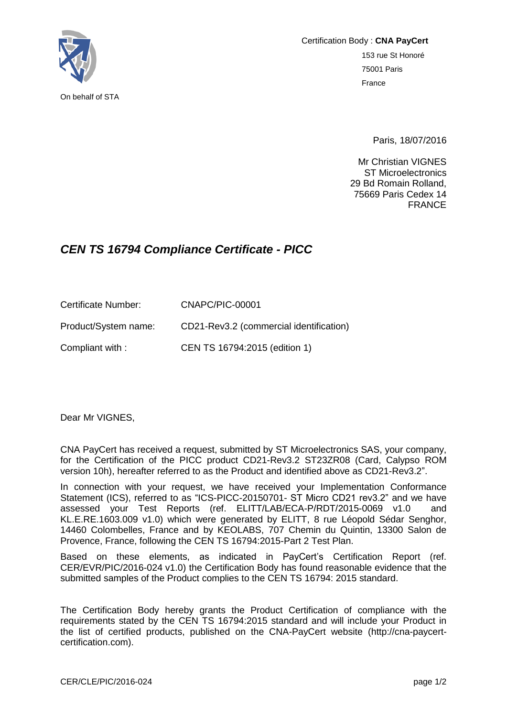

Certification Body : **CNA PayCert** 153 rue St Honoré 75001 Paris France

Paris, 18/07/2016

Mr Christian VIGNES ST Microelectronics 29 Bd Romain Rolland, 75669 Paris Cedex 14 FRANCE

## *CEN TS 16794 Compliance Certificate - PICC*

Certificate Number: CNAPC/PIC-00001 Product/System name: CD21-Rev3.2 (commercial identification) Compliant with : CEN TS 16794:2015 (edition 1)

Dear Mr VIGNES,

CNA PayCert has received a request, submitted by ST Microelectronics SAS, your company, for the Certification of the PICC product CD21-Rev3.2 ST23ZR08 (Card, Calypso ROM version 10h), hereafter referred to as the Product and identified above as CD21-Rev3.2".

In connection with your request, we have received your Implementation Conformance Statement (ICS), referred to as "ICS-PICC-20150701- ST Micro CD21 rev3.2" and we have assessed your Test Reports (ref. ELITT/LAB/ECA-P/RDT/2015-0069 v1.0 and KL.E.RE.1603.009 v1.0) which were generated by ELITT, 8 rue Léopold Sédar Senghor, 14460 Colombelles, France and by KEOLABS, 707 Chemin du Quintin, 13300 Salon de Provence, France, following the CEN TS 16794:2015-Part 2 Test Plan.

Based on these elements, as indicated in PayCert's Certification Report (ref. CER/EVR/PIC/2016-024 v1.0) the Certification Body has found reasonable evidence that the submitted samples of the Product complies to the CEN TS 16794: 2015 standard.

The Certification Body hereby grants the Product Certification of compliance with the requirements stated by the CEN TS 16794:2015 standard and will include your Product in the list of certified products, published on the CNA-PayCert website (http://cna-paycertcertification.com).